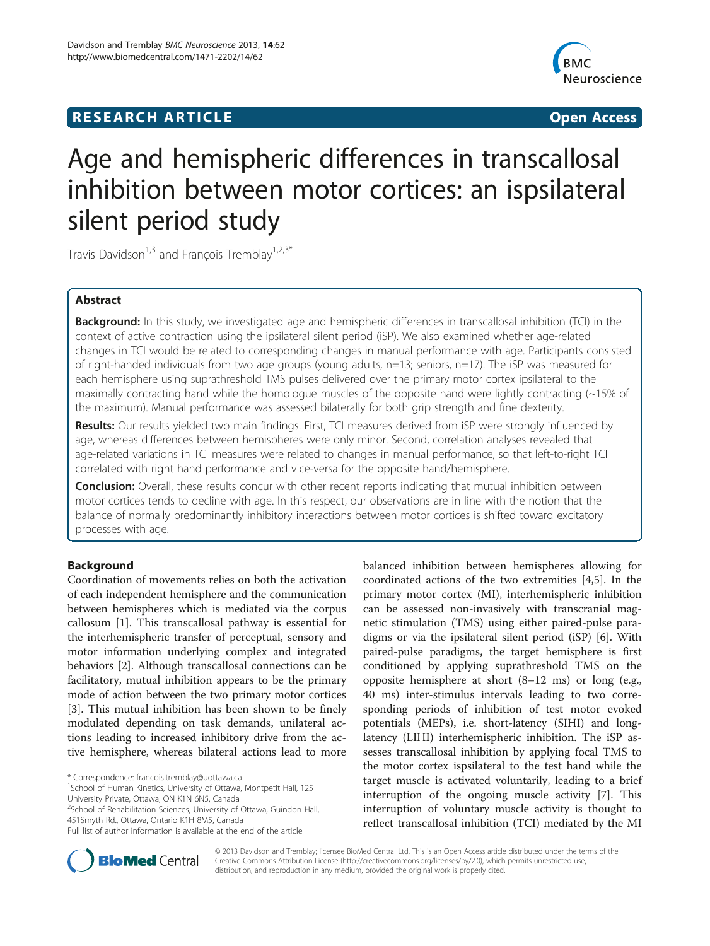## **RESEARCH ARTICLE Example 2014 CONSIDERING CONSIDERING CONSIDERING CONSIDERING CONSIDERING CONSIDERING CONSIDERING CONSIDERING CONSIDERING CONSIDERING CONSIDERING CONSIDERING CONSIDERING CONSIDERING CONSIDERING CONSIDE**



# Age and hemispheric differences in transcallosal inhibition between motor cortices: an ispsilateral silent period study

Travis Davidson<sup>1,3</sup> and François Tremblay<sup>1,2,3\*</sup>

## Abstract

Background: In this study, we investigated age and hemispheric differences in transcallosal inhibition (TCI) in the context of active contraction using the ipsilateral silent period (iSP). We also examined whether age-related changes in TCI would be related to corresponding changes in manual performance with age. Participants consisted of right-handed individuals from two age groups (young adults, n=13; seniors, n=17). The iSP was measured for each hemisphere using suprathreshold TMS pulses delivered over the primary motor cortex ipsilateral to the maximally contracting hand while the homologue muscles of the opposite hand were lightly contracting (~15% of the maximum). Manual performance was assessed bilaterally for both grip strength and fine dexterity.

Results: Our results yielded two main findings. First, TCI measures derived from iSP were strongly influenced by age, whereas differences between hemispheres were only minor. Second, correlation analyses revealed that age-related variations in TCI measures were related to changes in manual performance, so that left-to-right TCI correlated with right hand performance and vice-versa for the opposite hand/hemisphere.

**Conclusion:** Overall, these results concur with other recent reports indicating that mutual inhibition between motor cortices tends to decline with age. In this respect, our observations are in line with the notion that the balance of normally predominantly inhibitory interactions between motor cortices is shifted toward excitatory processes with age.

## Background

Coordination of movements relies on both the activation of each independent hemisphere and the communication between hemispheres which is mediated via the corpus callosum [\[1](#page-9-0)]. This transcallosal pathway is essential for the interhemispheric transfer of perceptual, sensory and motor information underlying complex and integrated behaviors [[2\]](#page-9-0). Although transcallosal connections can be facilitatory, mutual inhibition appears to be the primary mode of action between the two primary motor cortices [[3\]](#page-9-0). This mutual inhibition has been shown to be finely modulated depending on task demands, unilateral actions leading to increased inhibitory drive from the active hemisphere, whereas bilateral actions lead to more

\* Correspondence: [francois.tremblay@uottawa.ca](mailto:francois.tremblay@uottawa.ca) <sup>1</sup>

<sup>1</sup> School of Human Kinetics, University of Ottawa, Montpetit Hall, 125

University Private, Ottawa, ON K1N 6N5, Canada

<sup>2</sup>School of Rehabilitation Sciences, University of Ottawa, Guindon Hall, 451Smyth Rd., Ottawa, Ontario K1H 8M5, Canada

balanced inhibition between hemispheres allowing for coordinated actions of the two extremities [\[4,5](#page-9-0)]. In the primary motor cortex (MI), interhemispheric inhibition can be assessed non-invasively with transcranial magnetic stimulation (TMS) using either paired-pulse paradigms or via the ipsilateral silent period (iSP) [[6](#page-9-0)]. With paired-pulse paradigms, the target hemisphere is first conditioned by applying suprathreshold TMS on the opposite hemisphere at short (8–12 ms) or long (e.g., 40 ms) inter-stimulus intervals leading to two corresponding periods of inhibition of test motor evoked potentials (MEPs), i.e. short-latency (SIHI) and longlatency (LIHI) interhemispheric inhibition. The iSP assesses transcallosal inhibition by applying focal TMS to the motor cortex ispsilateral to the test hand while the target muscle is activated voluntarily, leading to a brief interruption of the ongoing muscle activity [\[7](#page-9-0)]. This interruption of voluntary muscle activity is thought to reflect transcallosal inhibition (TCI) mediated by the MI



© 2013 Davidson and Tremblay; licensee BioMed Central Ltd. This is an Open Access article distributed under the terms of the Creative Commons Attribution License (<http://creativecommons.org/licenses/by/2.0>), which permits unrestricted use, distribution, and reproduction in any medium, provided the original work is properly cited.

Full list of author information is available at the end of the article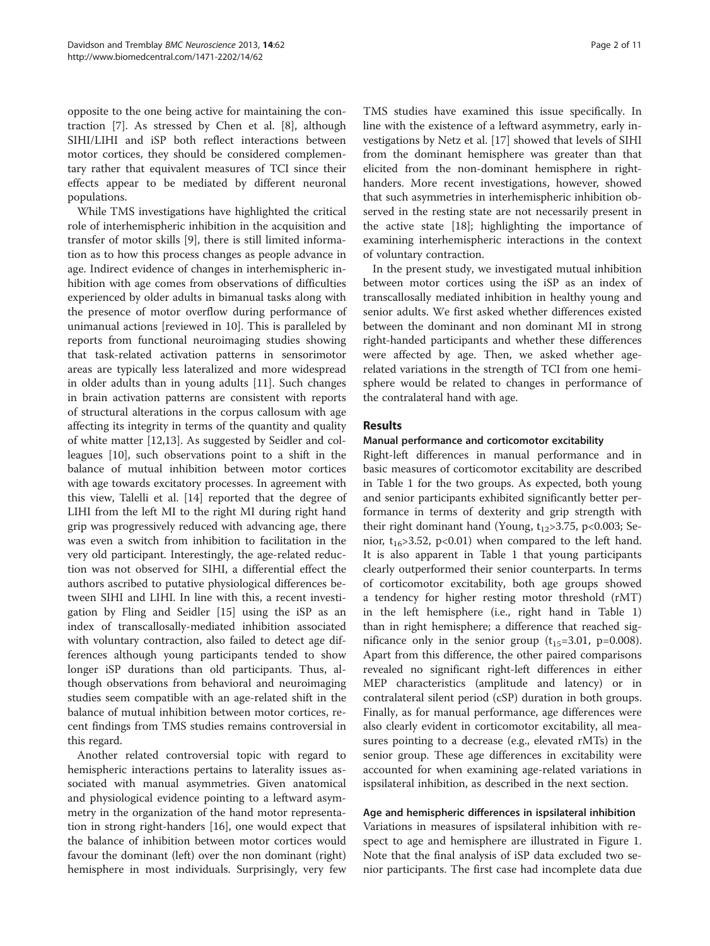<span id="page-1-0"></span>opposite to the one being active for maintaining the contraction [\[7](#page-9-0)]. As stressed by Chen et al. [\[8\]](#page-9-0), although SIHI/LIHI and iSP both reflect interactions between motor cortices, they should be considered complementary rather that equivalent measures of TCI since their effects appear to be mediated by different neuronal populations.

While TMS investigations have highlighted the critical role of interhemispheric inhibition in the acquisition and transfer of motor skills [[9\]](#page-9-0), there is still limited information as to how this process changes as people advance in age. Indirect evidence of changes in interhemispheric inhibition with age comes from observations of difficulties experienced by older adults in bimanual tasks along with the presence of motor overflow during performance of unimanual actions [reviewed in [10](#page-9-0)]. This is paralleled by reports from functional neuroimaging studies showing that task-related activation patterns in sensorimotor areas are typically less lateralized and more widespread in older adults than in young adults [\[11](#page-9-0)]. Such changes in brain activation patterns are consistent with reports of structural alterations in the corpus callosum with age affecting its integrity in terms of the quantity and quality of white matter [\[12,13](#page-9-0)]. As suggested by Seidler and colleagues [\[10](#page-9-0)], such observations point to a shift in the balance of mutual inhibition between motor cortices with age towards excitatory processes. In agreement with this view, Talelli et al. [\[14](#page-9-0)] reported that the degree of LIHI from the left MI to the right MI during right hand grip was progressively reduced with advancing age, there was even a switch from inhibition to facilitation in the very old participant. Interestingly, the age-related reduction was not observed for SIHI, a differential effect the authors ascribed to putative physiological differences between SIHI and LIHI. In line with this, a recent investigation by Fling and Seidler [[15\]](#page-9-0) using the iSP as an index of transcallosally-mediated inhibition associated with voluntary contraction, also failed to detect age differences although young participants tended to show longer iSP durations than old participants. Thus, although observations from behavioral and neuroimaging studies seem compatible with an age-related shift in the balance of mutual inhibition between motor cortices, recent findings from TMS studies remains controversial in this regard.

Another related controversial topic with regard to hemispheric interactions pertains to laterality issues associated with manual asymmetries. Given anatomical and physiological evidence pointing to a leftward asymmetry in the organization of the hand motor representation in strong right-handers [[16\]](#page-9-0), one would expect that the balance of inhibition between motor cortices would favour the dominant (left) over the non dominant (right) hemisphere in most individuals. Surprisingly, very few

TMS studies have examined this issue specifically. In line with the existence of a leftward asymmetry, early investigations by Netz et al. [\[17\]](#page-9-0) showed that levels of SIHI from the dominant hemisphere was greater than that elicited from the non-dominant hemisphere in righthanders. More recent investigations, however, showed that such asymmetries in interhemispheric inhibition observed in the resting state are not necessarily present in the active state [[18\]](#page-9-0); highlighting the importance of examining interhemispheric interactions in the context of voluntary contraction.

In the present study, we investigated mutual inhibition between motor cortices using the iSP as an index of transcallosally mediated inhibition in healthy young and senior adults. We first asked whether differences existed between the dominant and non dominant MI in strong right-handed participants and whether these differences were affected by age. Then, we asked whether agerelated variations in the strength of TCI from one hemisphere would be related to changes in performance of the contralateral hand with age.

#### Results

#### Manual performance and corticomotor excitability

Right-left differences in manual performance and in basic measures of corticomotor excitability are described in Table [1](#page-2-0) for the two groups. As expected, both young and senior participants exhibited significantly better performance in terms of dexterity and grip strength with their right dominant hand (Young,  $t_{12}$ >3.75, p<0.003; Senior,  $t_{16}$ >3.52, p<0.01) when compared to the left hand. It is also apparent in Table [1](#page-2-0) that young participants clearly outperformed their senior counterparts. In terms of corticomotor excitability, both age groups showed a tendency for higher resting motor threshold (rMT) in the left hemisphere (i.e., right hand in Table [1](#page-2-0)) than in right hemisphere; a difference that reached significance only in the senior group  $(t_{15}=3.01, p=0.008)$ . Apart from this difference, the other paired comparisons revealed no significant right-left differences in either MEP characteristics (amplitude and latency) or in contralateral silent period (cSP) duration in both groups. Finally, as for manual performance, age differences were also clearly evident in corticomotor excitability, all measures pointing to a decrease (e.g., elevated rMTs) in the senior group. These age differences in excitability were accounted for when examining age-related variations in ispsilateral inhibition, as described in the next section.

#### Age and hemispheric differences in ispsilateral inhibition

Variations in measures of ispsilateral inhibition with respect to age and hemisphere are illustrated in Figure [1](#page-3-0). Note that the final analysis of iSP data excluded two senior participants. The first case had incomplete data due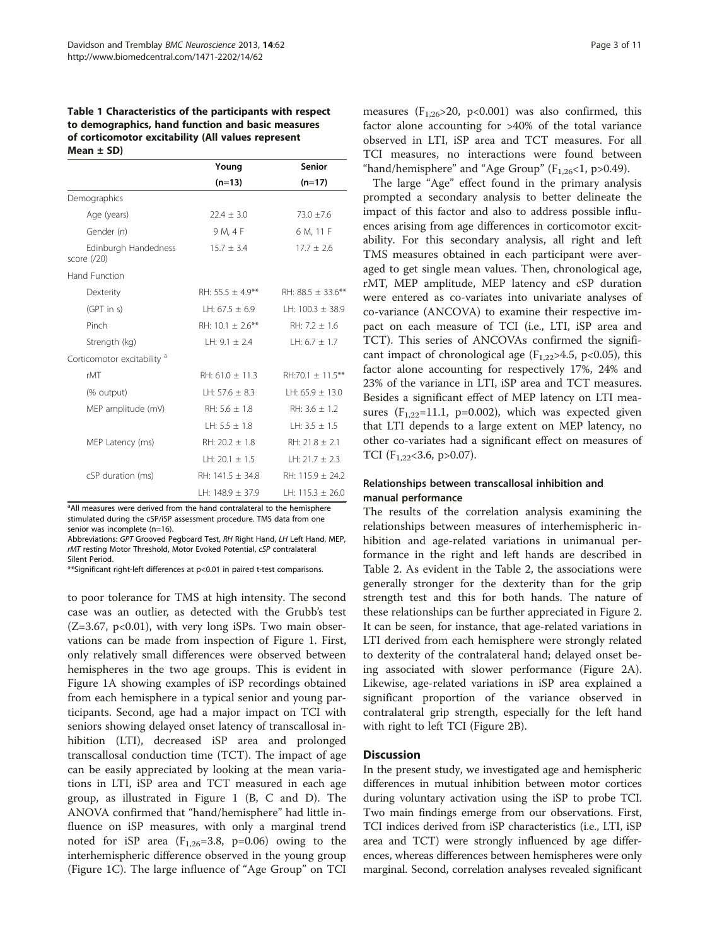<span id="page-2-0"></span>Table 1 Characteristics of the participants with respect to demographics, hand function and basic measures of corticomotor excitability (All values represent Mean  $\pm$  SD)

|                                        | Young                 | Senior                 |  |
|----------------------------------------|-----------------------|------------------------|--|
|                                        | $(n=13)$              | $(n=17)$               |  |
| Demographics                           |                       |                        |  |
| Age (years)                            | $22.4 + 3.0$          | $73.0 + 7.6$           |  |
| Gender (n)                             | 9 M, 4 F              | 6 M, 11 F              |  |
| Edinburgh Handedness<br>score $(20)$   | $15.7 \pm 3.4$        | $17.7 + 2.6$           |  |
| Hand Function                          |                       |                        |  |
| Dexterity                              | RH: 55.5 $\pm$ 4.9**  | RH: $88.5 \pm 33.6***$ |  |
| (GPT in s)                             | LH: $67.5 \pm 6.9$    | $H: 100.3 + 38.9$      |  |
| Pinch                                  | RH: $10.1 \pm 2.6***$ | RH: $7.2 \pm 1.6$      |  |
| Strength (kg)                          | LH: $9.1 \pm 2.4$     | $H: 6.7 + 1.7$         |  |
| Corticomotor excitability <sup>a</sup> |                       |                        |  |
| rMT                                    | $RH: 61.0 + 11.3$     | $RH:70.1 + 11.5***$    |  |
| (% output)                             | $H: 57.6 + 8.3$       | $H: 65.9 + 13.0$       |  |
| MEP amplitude (mV)                     | RH: $5.6 \pm 1.8$     | RH: $3.6 \pm 1.2$      |  |
|                                        | LH: $5.5 \pm 1.8$     | LH: $3.5 \pm 1.5$      |  |
| MEP Latency (ms)                       | RH: $20.2 \pm 1.8$    | RH: $21.8 \pm 2.1$     |  |
|                                        | $H: 20.1 + 1.5$       | $H: 21.7 + 2.3$        |  |
| cSP duration (ms)                      | RH: $141.5 \pm 34.8$  | $RH: 115.9 + 24.2$     |  |
|                                        | LH: $148.9 \pm 37.9$  | LH: $115.3 \pm 26.0$   |  |

<sup>a</sup>All measures were derived from the hand contralateral to the hemisphere stimulated during the cSP/iSP assessment procedure. TMS data from one senior was incomplete (n=16).

Abbreviations: GPT Grooved Pegboard Test, RH Right Hand, LH Left Hand, MEP, rMT resting Motor Threshold, Motor Evoked Potential, cSP contralateral Silent Period.

\*\*Significant right-left differences at p<0.01 in paired t-test comparisons.

to poor tolerance for TMS at high intensity. The second case was an outlier, as detected with the Grubb's test  $(Z=3.67, p<0.01)$ , with very long iSPs. Two main observations can be made from inspection of Figure [1.](#page-3-0) First, only relatively small differences were observed between hemispheres in the two age groups. This is evident in Figure [1A](#page-3-0) showing examples of iSP recordings obtained from each hemisphere in a typical senior and young participants. Second, age had a major impact on TCI with seniors showing delayed onset latency of transcallosal inhibition (LTI), decreased iSP area and prolonged transcallosal conduction time (TCT). The impact of age can be easily appreciated by looking at the mean variations in LTI, iSP area and TCT measured in each age group, as illustrated in Figure [1](#page-3-0) (B, C and D). The ANOVA confirmed that "hand/hemisphere" had little influence on iSP measures, with only a marginal trend noted for iSP area  $(F_{1,26}=3.8, p=0.06)$  owing to the interhemispheric difference observed in the young group (Figure [1C](#page-3-0)). The large influence of "Age Group" on TCI measures ( $F_{1,26}$ >20, p<0.001) was also confirmed, this factor alone accounting for >40% of the total variance observed in LTI, iSP area and TCT measures. For all TCI measures, no interactions were found between "hand/hemisphere" and "Age Group"  $(F<sub>1,26</sub><1, p>0.49)$ .

The large "Age" effect found in the primary analysis prompted a secondary analysis to better delineate the impact of this factor and also to address possible influences arising from age differences in corticomotor excitability. For this secondary analysis, all right and left TMS measures obtained in each participant were averaged to get single mean values. Then, chronological age, rMT, MEP amplitude, MEP latency and cSP duration were entered as co-variates into univariate analyses of co-variance (ANCOVA) to examine their respective impact on each measure of TCI (i.e., LTI, iSP area and TCT). This series of ANCOVAs confirmed the significant impact of chronological age  $(F_{1,22} > 4.5, p < 0.05)$ , this factor alone accounting for respectively 17%, 24% and 23% of the variance in LTI, iSP area and TCT measures. Besides a significant effect of MEP latency on LTI measures ( $F_{1,22}=11.1$ , p=0.002), which was expected given that LTI depends to a large extent on MEP latency, no other co-variates had a significant effect on measures of TCI ( $F_{1,22}$ <3.6, p>0.07).

### Relationships between transcallosal inhibition and manual performance

The results of the correlation analysis examining the relationships between measures of interhemispheric inhibition and age-related variations in unimanual performance in the right and left hands are described in Table [2](#page-4-0). As evident in the Table [2](#page-4-0), the associations were generally stronger for the dexterity than for the grip strength test and this for both hands. The nature of these relationships can be further appreciated in Figure [2](#page-4-0). It can be seen, for instance, that age-related variations in LTI derived from each hemisphere were strongly related to dexterity of the contralateral hand; delayed onset being associated with slower performance (Figure [2](#page-4-0)A). Likewise, age-related variations in iSP area explained a significant proportion of the variance observed in contralateral grip strength, especially for the left hand with right to left TCI (Figure [2](#page-4-0)B).

#### **Discussion**

In the present study, we investigated age and hemispheric differences in mutual inhibition between motor cortices during voluntary activation using the iSP to probe TCI. Two main findings emerge from our observations. First, TCI indices derived from iSP characteristics (i.e., LTI, iSP area and TCT) were strongly influenced by age differences, whereas differences between hemispheres were only marginal. Second, correlation analyses revealed significant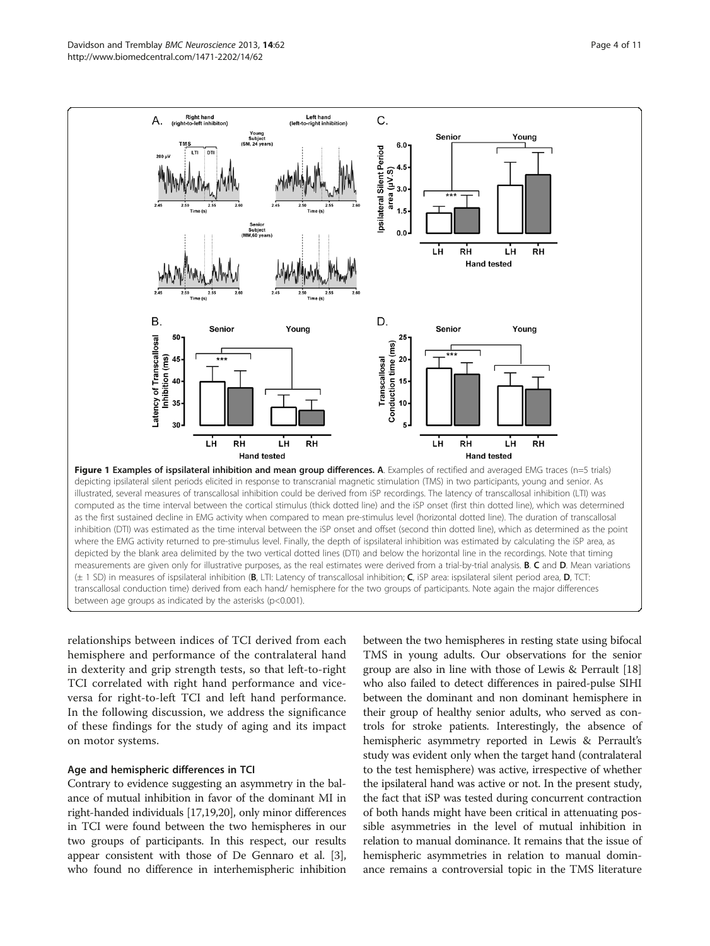<span id="page-3-0"></span>

relationships between indices of TCI derived from each hemisphere and performance of the contralateral hand in dexterity and grip strength tests, so that left-to-right TCI correlated with right hand performance and viceversa for right-to-left TCI and left hand performance. In the following discussion, we address the significance of these findings for the study of aging and its impact on motor systems.

#### Age and hemispheric differences in TCI

Contrary to evidence suggesting an asymmetry in the balance of mutual inhibition in favor of the dominant MI in right-handed individuals [[17,19,20\]](#page-9-0), only minor differences in TCI were found between the two hemispheres in our two groups of participants. In this respect, our results appear consistent with those of De Gennaro et al. [[3](#page-9-0)], who found no difference in interhemispheric inhibition

between the two hemispheres in resting state using bifocal TMS in young adults. Our observations for the senior group are also in line with those of Lewis & Perrault [[18](#page-9-0)] who also failed to detect differences in paired-pulse SIHI between the dominant and non dominant hemisphere in their group of healthy senior adults, who served as controls for stroke patients. Interestingly, the absence of hemispheric asymmetry reported in Lewis & Perrault's study was evident only when the target hand (contralateral to the test hemisphere) was active, irrespective of whether the ipsilateral hand was active or not. In the present study, the fact that iSP was tested during concurrent contraction of both hands might have been critical in attenuating possible asymmetries in the level of mutual inhibition in relation to manual dominance. It remains that the issue of hemispheric asymmetries in relation to manual dominance remains a controversial topic in the TMS literature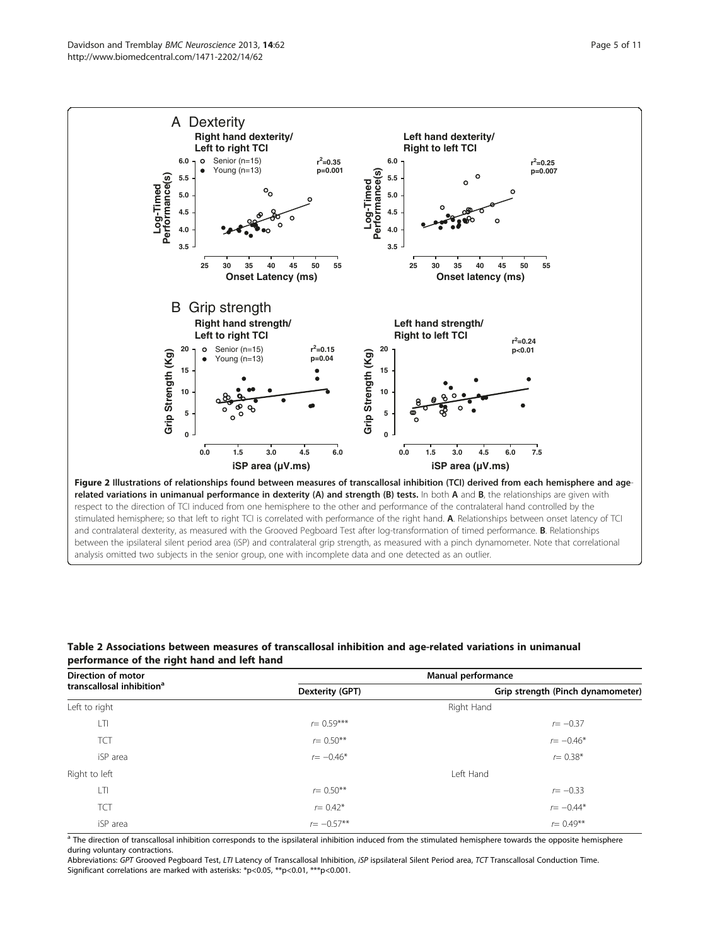<span id="page-4-0"></span>

| - Detween the ipsilateral slient period area (ISP) and contralateral grip strength, as measured with a pinch dynamometer. N |
|-----------------------------------------------------------------------------------------------------------------------------|
| analysis omitted two subjects in the senior group, one with incomplete data and one detected as an outlier.                 |

| Table 2 Associations between measures of transcallosal inhibition and age-related variations in unimanual |  |
|-----------------------------------------------------------------------------------------------------------|--|
| performance of the right hand and left hand                                                               |  |

| <b>Direction of motor</b><br>transcallosal inhibition <sup>a</sup> | Manual performance |                                                                                                                                                                          |  |
|--------------------------------------------------------------------|--------------------|--------------------------------------------------------------------------------------------------------------------------------------------------------------------------|--|
|                                                                    | Dexterity (GPT)    | Grip strength (Pinch dynamometer)                                                                                                                                        |  |
| Left to right                                                      |                    | Right Hand                                                                                                                                                               |  |
| LTI                                                                | $r = 0.59***$      | $r = -0.37$                                                                                                                                                              |  |
| TCT                                                                | $r = 0.50**$       | $r = -0.46*$                                                                                                                                                             |  |
| iSP area                                                           | $r = -0.46*$       | $r = 0.38*$                                                                                                                                                              |  |
| Right to left                                                      |                    | Left Hand                                                                                                                                                                |  |
| LTI.                                                               | $r = 0.50**$       | $r = -0.33$                                                                                                                                                              |  |
| TCT                                                                | $r = 0.42*$        | $r = -0.44*$                                                                                                                                                             |  |
| iSP area                                                           | $r = -0.57**$      | $r = 0.49**$                                                                                                                                                             |  |
|                                                                    |                    | <sup>a</sup> The direction of transcallosal inhibition corresponds to the ispsilateral inhibition induced from the stimulated hemisphere towards the opposite hemisphere |  |

during voluntary contractions.

Abbreviations: GPT Grooved Pegboard Test, LTI Latency of Transcallosal Inhibition, iSP ispsilateral Silent Period area, TCT Transcallosal Conduction Time. Significant correlations are marked with asterisks: \*p<0.05, \*\*p<0.01, \*\*\*p<0.001.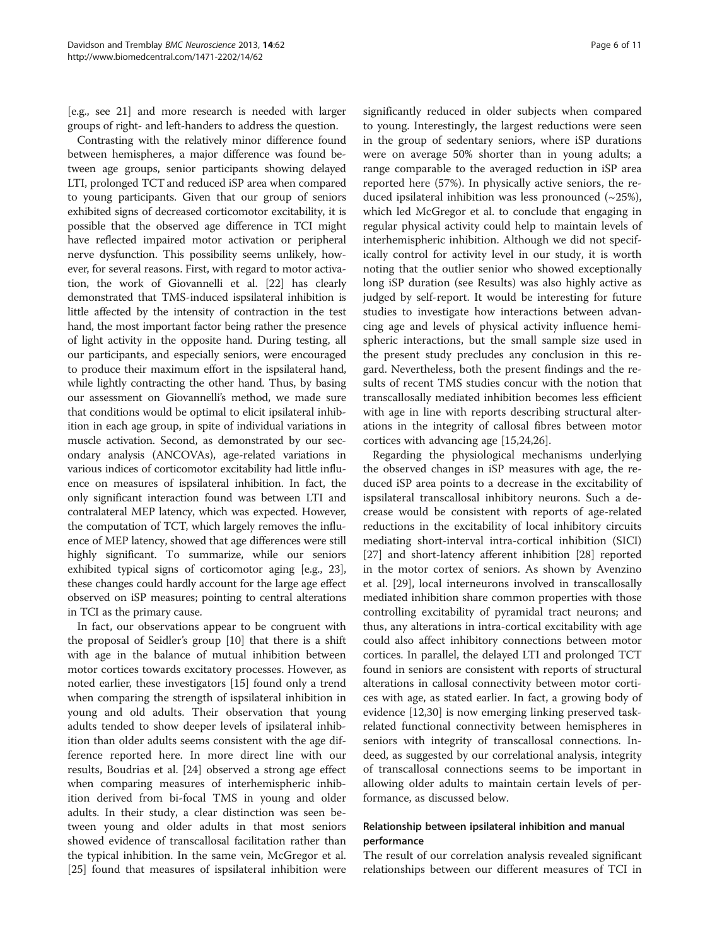[e.g., see [21](#page-9-0)] and more research is needed with larger groups of right- and left-handers to address the question.

Contrasting with the relatively minor difference found between hemispheres, a major difference was found between age groups, senior participants showing delayed LTI, prolonged TCT and reduced iSP area when compared to young participants. Given that our group of seniors exhibited signs of decreased corticomotor excitability, it is possible that the observed age difference in TCI might have reflected impaired motor activation or peripheral nerve dysfunction. This possibility seems unlikely, however, for several reasons. First, with regard to motor activation, the work of Giovannelli et al. [[22](#page-9-0)] has clearly demonstrated that TMS-induced ispsilateral inhibition is little affected by the intensity of contraction in the test hand, the most important factor being rather the presence of light activity in the opposite hand. During testing, all our participants, and especially seniors, were encouraged to produce their maximum effort in the ispsilateral hand, while lightly contracting the other hand. Thus, by basing our assessment on Giovannelli's method, we made sure that conditions would be optimal to elicit ipsilateral inhibition in each age group, in spite of individual variations in muscle activation. Second, as demonstrated by our secondary analysis (ANCOVAs), age-related variations in various indices of corticomotor excitability had little influence on measures of ispsilateral inhibition. In fact, the only significant interaction found was between LTI and contralateral MEP latency, which was expected. However, the computation of TCT, which largely removes the influence of MEP latency, showed that age differences were still highly significant. To summarize, while our seniors exhibited typical signs of corticomotor aging [e.g., [23](#page-9-0)], these changes could hardly account for the large age effect observed on iSP measures; pointing to central alterations in TCI as the primary cause.

In fact, our observations appear to be congruent with the proposal of Seidler's group [\[10](#page-9-0)] that there is a shift with age in the balance of mutual inhibition between motor cortices towards excitatory processes. However, as noted earlier, these investigators [\[15\]](#page-9-0) found only a trend when comparing the strength of ispsilateral inhibition in young and old adults. Their observation that young adults tended to show deeper levels of ipsilateral inhibition than older adults seems consistent with the age difference reported here. In more direct line with our results, Boudrias et al. [\[24](#page-9-0)] observed a strong age effect when comparing measures of interhemispheric inhibition derived from bi-focal TMS in young and older adults. In their study, a clear distinction was seen between young and older adults in that most seniors showed evidence of transcallosal facilitation rather than the typical inhibition. In the same vein, McGregor et al. [[25\]](#page-9-0) found that measures of ispsilateral inhibition were

significantly reduced in older subjects when compared to young. Interestingly, the largest reductions were seen in the group of sedentary seniors, where iSP durations were on average 50% shorter than in young adults; a range comparable to the averaged reduction in iSP area reported here (57%). In physically active seniors, the reduced ipsilateral inhibition was less pronounced  $(\sim 25\%)$ , which led McGregor et al. to conclude that engaging in regular physical activity could help to maintain levels of interhemispheric inhibition. Although we did not specifically control for activity level in our study, it is worth noting that the outlier senior who showed exceptionally long iSP duration (see [Results\)](#page-1-0) was also highly active as judged by self-report. It would be interesting for future studies to investigate how interactions between advancing age and levels of physical activity influence hemispheric interactions, but the small sample size used in the present study precludes any conclusion in this regard. Nevertheless, both the present findings and the results of recent TMS studies concur with the notion that transcallosally mediated inhibition becomes less efficient with age in line with reports describing structural alterations in the integrity of callosal fibres between motor cortices with advancing age [[15](#page-9-0),[24,26](#page-9-0)].

Regarding the physiological mechanisms underlying the observed changes in iSP measures with age, the reduced iSP area points to a decrease in the excitability of ispsilateral transcallosal inhibitory neurons. Such a decrease would be consistent with reports of age-related reductions in the excitability of local inhibitory circuits mediating short-interval intra-cortical inhibition (SICI) [[27\]](#page-9-0) and short-latency afferent inhibition [\[28\]](#page-9-0) reported in the motor cortex of seniors. As shown by Avenzino et al. [[29](#page-9-0)], local interneurons involved in transcallosally mediated inhibition share common properties with those controlling excitability of pyramidal tract neurons; and thus, any alterations in intra-cortical excitability with age could also affect inhibitory connections between motor cortices. In parallel, the delayed LTI and prolonged TCT found in seniors are consistent with reports of structural alterations in callosal connectivity between motor cortices with age, as stated earlier. In fact, a growing body of evidence [\[12,30](#page-9-0)] is now emerging linking preserved taskrelated functional connectivity between hemispheres in seniors with integrity of transcallosal connections. Indeed, as suggested by our correlational analysis, integrity of transcallosal connections seems to be important in allowing older adults to maintain certain levels of performance, as discussed below.

## Relationship between ipsilateral inhibition and manual performance

The result of our correlation analysis revealed significant relationships between our different measures of TCI in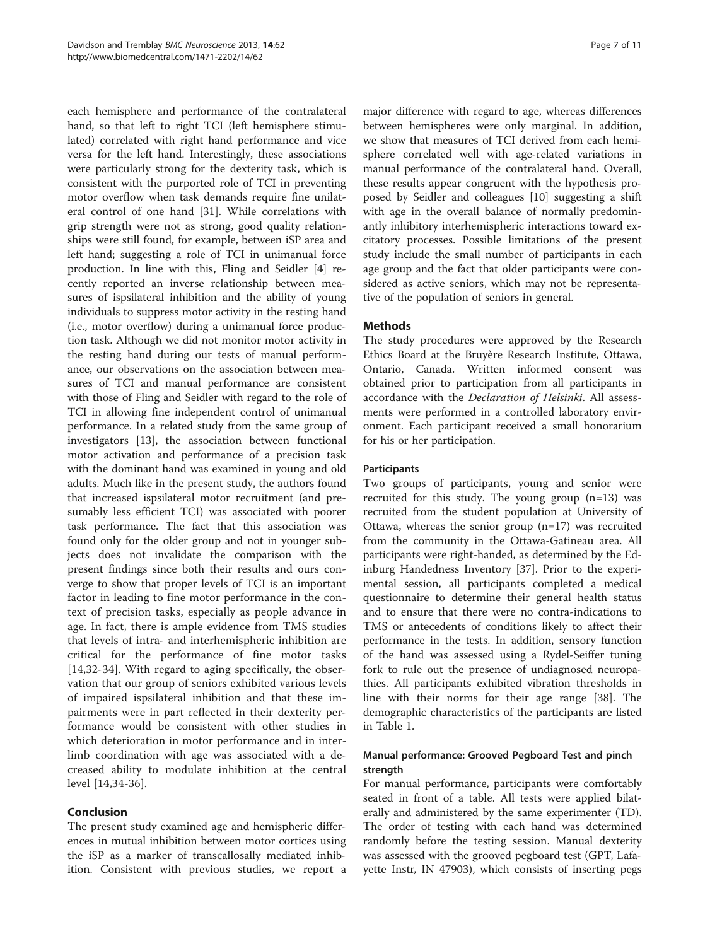each hemisphere and performance of the contralateral hand, so that left to right TCI (left hemisphere stimulated) correlated with right hand performance and vice versa for the left hand. Interestingly, these associations were particularly strong for the dexterity task, which is consistent with the purported role of TCI in preventing motor overflow when task demands require fine unilateral control of one hand [[31](#page-9-0)]. While correlations with grip strength were not as strong, good quality relationships were still found, for example, between iSP area and left hand; suggesting a role of TCI in unimanual force production. In line with this, Fling and Seidler [\[4](#page-9-0)] recently reported an inverse relationship between measures of ispsilateral inhibition and the ability of young individuals to suppress motor activity in the resting hand (i.e., motor overflow) during a unimanual force production task. Although we did not monitor motor activity in the resting hand during our tests of manual performance, our observations on the association between measures of TCI and manual performance are consistent with those of Fling and Seidler with regard to the role of TCI in allowing fine independent control of unimanual performance. In a related study from the same group of investigators [\[13](#page-9-0)], the association between functional motor activation and performance of a precision task with the dominant hand was examined in young and old adults. Much like in the present study, the authors found that increased ispsilateral motor recruitment (and presumably less efficient TCI) was associated with poorer task performance. The fact that this association was found only for the older group and not in younger subjects does not invalidate the comparison with the present findings since both their results and ours converge to show that proper levels of TCI is an important factor in leading to fine motor performance in the context of precision tasks, especially as people advance in age. In fact, there is ample evidence from TMS studies that levels of intra- and interhemispheric inhibition are critical for the performance of fine motor tasks [[14,32](#page-9-0)-[34\]](#page-9-0). With regard to aging specifically, the observation that our group of seniors exhibited various levels of impaired ispsilateral inhibition and that these impairments were in part reflected in their dexterity performance would be consistent with other studies in which deterioration in motor performance and in interlimb coordination with age was associated with a decreased ability to modulate inhibition at the central level [[14,34](#page-9-0)-[36\]](#page-9-0).

#### Conclusion

The present study examined age and hemispheric differences in mutual inhibition between motor cortices using the iSP as a marker of transcallosally mediated inhibition. Consistent with previous studies, we report a

major difference with regard to age, whereas differences between hemispheres were only marginal. In addition, we show that measures of TCI derived from each hemisphere correlated well with age-related variations in manual performance of the contralateral hand. Overall, these results appear congruent with the hypothesis proposed by Seidler and colleagues [[10](#page-9-0)] suggesting a shift with age in the overall balance of normally predominantly inhibitory interhemispheric interactions toward excitatory processes. Possible limitations of the present study include the small number of participants in each age group and the fact that older participants were considered as active seniors, which may not be representative of the population of seniors in general.

## Methods

The study procedures were approved by the Research Ethics Board at the Bruyère Research Institute, Ottawa, Ontario, Canada. Written informed consent was obtained prior to participation from all participants in accordance with the Declaration of Helsinki. All assessments were performed in a controlled laboratory environment. Each participant received a small honorarium for his or her participation.

#### **Participants**

Two groups of participants, young and senior were recruited for this study. The young group  $(n=13)$  was recruited from the student population at University of Ottawa, whereas the senior group (n=17) was recruited from the community in the Ottawa-Gatineau area. All participants were right-handed, as determined by the Edinburg Handedness Inventory [\[37](#page-9-0)]. Prior to the experimental session, all participants completed a medical questionnaire to determine their general health status and to ensure that there were no contra-indications to TMS or antecedents of conditions likely to affect their performance in the tests. In addition, sensory function of the hand was assessed using a Rydel-Seiffer tuning fork to rule out the presence of undiagnosed neuropathies. All participants exhibited vibration thresholds in line with their norms for their age range [\[38](#page-9-0)]. The demographic characteristics of the participants are listed in Table [1.](#page-2-0)

## Manual performance: Grooved Pegboard Test and pinch strength

For manual performance, participants were comfortably seated in front of a table. All tests were applied bilaterally and administered by the same experimenter (TD). The order of testing with each hand was determined randomly before the testing session. Manual dexterity was assessed with the grooved pegboard test (GPT, Lafayette Instr, IN 47903), which consists of inserting pegs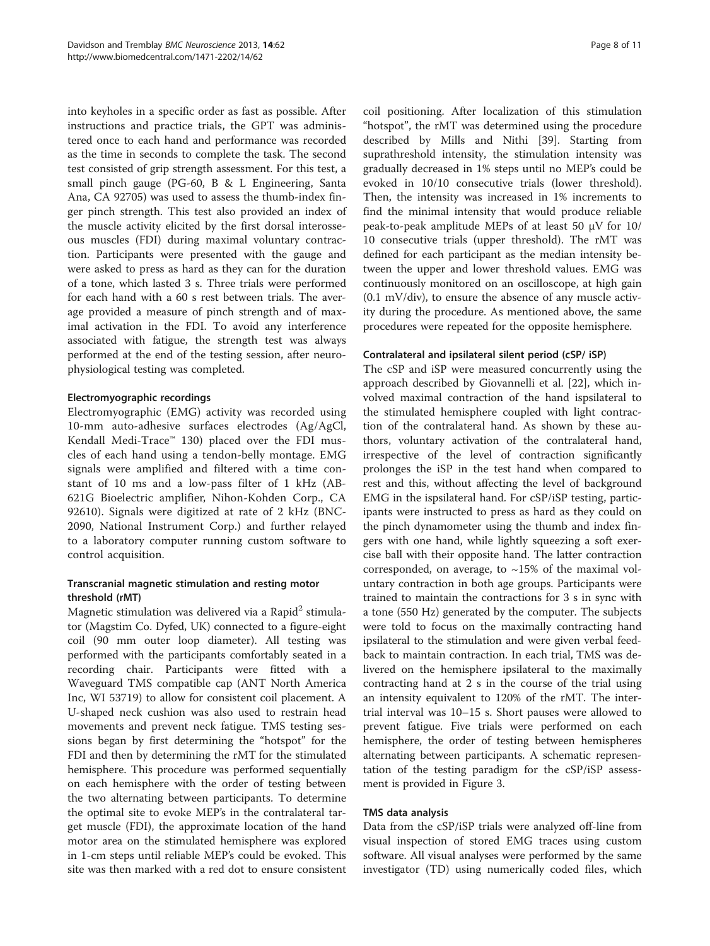into keyholes in a specific order as fast as possible. After instructions and practice trials, the GPT was administered once to each hand and performance was recorded as the time in seconds to complete the task. The second test consisted of grip strength assessment. For this test, a small pinch gauge (PG-60, B & L Engineering, Santa Ana, CA 92705) was used to assess the thumb-index finger pinch strength. This test also provided an index of the muscle activity elicited by the first dorsal interosseous muscles (FDI) during maximal voluntary contraction. Participants were presented with the gauge and were asked to press as hard as they can for the duration of a tone, which lasted 3 s. Three trials were performed for each hand with a 60 s rest between trials. The average provided a measure of pinch strength and of maximal activation in the FDI. To avoid any interference associated with fatigue, the strength test was always performed at the end of the testing session, after neurophysiological testing was completed.

## Electromyographic recordings

Electromyographic (EMG) activity was recorded using 10-mm auto-adhesive surfaces electrodes (Ag/AgCl, Kendall Medi-Trace™ 130) placed over the FDI muscles of each hand using a tendon-belly montage. EMG signals were amplified and filtered with a time constant of 10 ms and a low-pass filter of 1 kHz (AB-621G Bioelectric amplifier, Nihon-Kohden Corp., CA 92610). Signals were digitized at rate of 2 kHz (BNC-2090, National Instrument Corp.) and further relayed to a laboratory computer running custom software to control acquisition.

## Transcranial magnetic stimulation and resting motor threshold (rMT)

Magnetic stimulation was delivered via a Rapid<sup>2</sup> stimulator (Magstim Co. Dyfed, UK) connected to a figure-eight coil (90 mm outer loop diameter). All testing was performed with the participants comfortably seated in a recording chair. Participants were fitted with a Waveguard TMS compatible cap (ANT North America Inc, WI 53719) to allow for consistent coil placement. A U-shaped neck cushion was also used to restrain head movements and prevent neck fatigue. TMS testing sessions began by first determining the "hotspot" for the FDI and then by determining the rMT for the stimulated hemisphere. This procedure was performed sequentially on each hemisphere with the order of testing between the two alternating between participants. To determine the optimal site to evoke MEP's in the contralateral target muscle (FDI), the approximate location of the hand motor area on the stimulated hemisphere was explored in 1-cm steps until reliable MEP's could be evoked. This site was then marked with a red dot to ensure consistent coil positioning. After localization of this stimulation "hotspot", the rMT was determined using the procedure described by Mills and Nithi [[39](#page-10-0)]. Starting from suprathreshold intensity, the stimulation intensity was gradually decreased in 1% steps until no MEP's could be evoked in 10/10 consecutive trials (lower threshold). Then, the intensity was increased in 1% increments to find the minimal intensity that would produce reliable peak-to-peak amplitude MEPs of at least 50 μV for 10/ 10 consecutive trials (upper threshold). The rMT was defined for each participant as the median intensity between the upper and lower threshold values. EMG was continuously monitored on an oscilloscope, at high gain  $(0.1 \text{ mV}/\text{div})$ , to ensure the absence of any muscle activity during the procedure. As mentioned above, the same procedures were repeated for the opposite hemisphere.

## Contralateral and ipsilateral silent period (cSP/ iSP)

The cSP and iSP were measured concurrently using the approach described by Giovannelli et al. [[22\]](#page-9-0), which involved maximal contraction of the hand ispsilateral to the stimulated hemisphere coupled with light contraction of the contralateral hand. As shown by these authors, voluntary activation of the contralateral hand, irrespective of the level of contraction significantly prolonges the iSP in the test hand when compared to rest and this, without affecting the level of background EMG in the ispsilateral hand. For cSP/iSP testing, participants were instructed to press as hard as they could on the pinch dynamometer using the thumb and index fingers with one hand, while lightly squeezing a soft exercise ball with their opposite hand. The latter contraction corresponded, on average, to  $\sim$ 15% of the maximal voluntary contraction in both age groups. Participants were trained to maintain the contractions for 3 s in sync with a tone (550 Hz) generated by the computer. The subjects were told to focus on the maximally contracting hand ipsilateral to the stimulation and were given verbal feedback to maintain contraction. In each trial, TMS was delivered on the hemisphere ipsilateral to the maximally contracting hand at 2 s in the course of the trial using an intensity equivalent to 120% of the rMT. The intertrial interval was 10–15 s. Short pauses were allowed to prevent fatigue. Five trials were performed on each hemisphere, the order of testing between hemispheres alternating between participants. A schematic representation of the testing paradigm for the cSP/iSP assessment is provided in Figure [3](#page-8-0).

## TMS data analysis

Data from the cSP/iSP trials were analyzed off-line from visual inspection of stored EMG traces using custom software. All visual analyses were performed by the same investigator (TD) using numerically coded files, which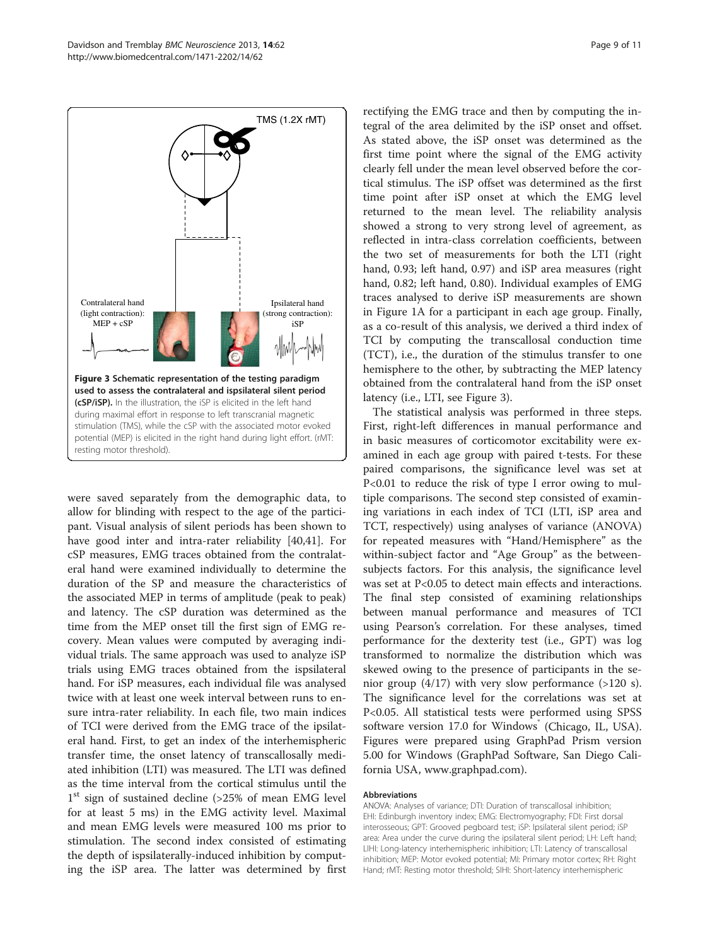<span id="page-8-0"></span>

were saved separately from the demographic data, to allow for blinding with respect to the age of the participant. Visual analysis of silent periods has been shown to have good inter and intra-rater reliability [\[40,41](#page-10-0)]. For cSP measures, EMG traces obtained from the contralateral hand were examined individually to determine the duration of the SP and measure the characteristics of the associated MEP in terms of amplitude (peak to peak) and latency. The cSP duration was determined as the time from the MEP onset till the first sign of EMG recovery. Mean values were computed by averaging individual trials. The same approach was used to analyze iSP trials using EMG traces obtained from the ispsilateral hand. For iSP measures, each individual file was analysed twice with at least one week interval between runs to ensure intra-rater reliability. In each file, two main indices of TCI were derived from the EMG trace of the ipsilateral hand. First, to get an index of the interhemispheric transfer time, the onset latency of transcallosally mediated inhibition (LTI) was measured. The LTI was defined as the time interval from the cortical stimulus until the  $1<sup>st</sup>$  sign of sustained decline (>25% of mean EMG level for at least 5 ms) in the EMG activity level. Maximal and mean EMG levels were measured 100 ms prior to stimulation. The second index consisted of estimating the depth of ispsilaterally-induced inhibition by computing the iSP area. The latter was determined by first

rectifying the EMG trace and then by computing the integral of the area delimited by the iSP onset and offset. As stated above, the iSP onset was determined as the first time point where the signal of the EMG activity clearly fell under the mean level observed before the cortical stimulus. The iSP offset was determined as the first time point after iSP onset at which the EMG level returned to the mean level. The reliability analysis showed a strong to very strong level of agreement, as reflected in intra-class correlation coefficients, between the two set of measurements for both the LTI (right hand, 0.93; left hand, 0.97) and iSP area measures (right hand, 0.82; left hand, 0.80). Individual examples of EMG traces analysed to derive iSP measurements are shown in Figure [1A](#page-3-0) for a participant in each age group. Finally, as a co-result of this analysis, we derived a third index of TCI by computing the transcallosal conduction time (TCT), i.e., the duration of the stimulus transfer to one hemisphere to the other, by subtracting the MEP latency obtained from the contralateral hand from the iSP onset latency (i.e., LTI, see Figure 3).

The statistical analysis was performed in three steps. First, right-left differences in manual performance and in basic measures of corticomotor excitability were examined in each age group with paired t-tests. For these paired comparisons, the significance level was set at P<0.01 to reduce the risk of type I error owing to multiple comparisons. The second step consisted of examining variations in each index of TCI (LTI, iSP area and TCT, respectively) using analyses of variance (ANOVA) for repeated measures with "Hand/Hemisphere" as the within-subject factor and "Age Group" as the betweensubjects factors. For this analysis, the significance level was set at P<0.05 to detect main effects and interactions. The final step consisted of examining relationships between manual performance and measures of TCI using Pearson's correlation. For these analyses, timed performance for the dexterity test (i.e., GPT) was log transformed to normalize the distribution which was skewed owing to the presence of participants in the senior group  $(4/17)$  with very slow performance  $(>120 s)$ . The significance level for the correlations was set at P<0.05. All statistical tests were performed using SPSS software version 17.0 for Windows (Chicago, IL, USA). Figures were prepared using GraphPad Prism version 5.00 for Windows (GraphPad Software, San Diego California USA, [www.graphpad.com\)](http://www.graphpad.com/).

#### Abbreviations

ANOVA: Analyses of variance; DTI: Duration of transcallosal inhibition; EHI: Edinburgh inventory index; EMG: Electromyography; FDI: First dorsal interosseous; GPT: Grooved pegboard test; iSP: Ipsilateral silent period; iSP area: Area under the curve during the ipsilateral silent period; LH: Left hand; LIHI: Long-latency interhemispheric inhibition; LTI: Latency of transcallosal inhibition; MEP: Motor evoked potential; MI: Primary motor cortex; RH: Right Hand; rMT: Resting motor threshold; SIHI: Short-latency interhemispheric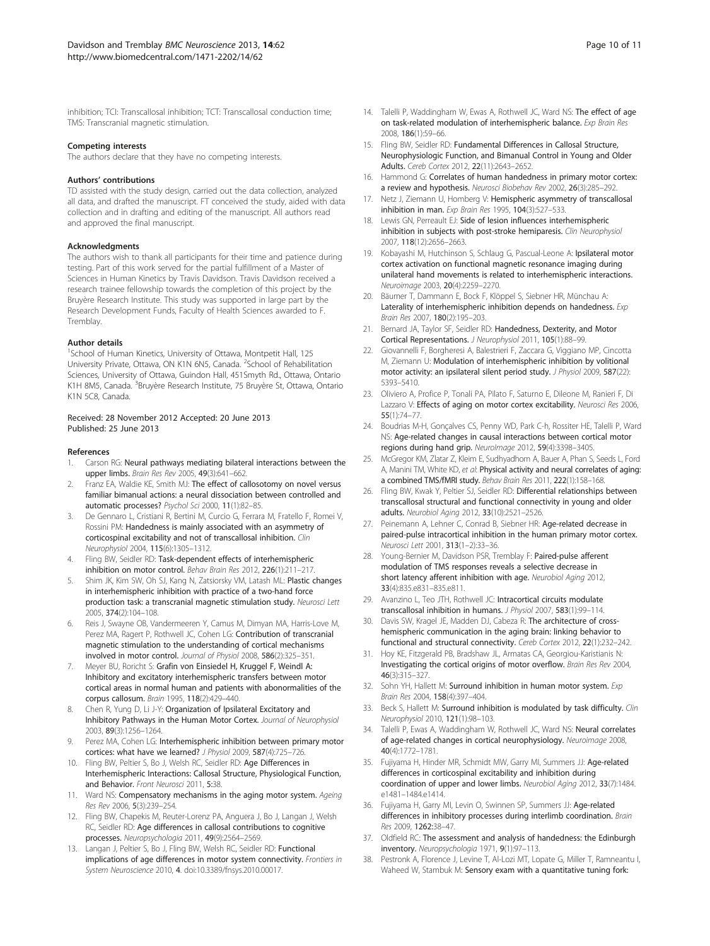#### <span id="page-9-0"></span>Competing interests

The authors declare that they have no competing interests.

#### Authors' contributions

TD assisted with the study design, carried out the data collection, analyzed all data, and drafted the manuscript. FT conceived the study, aided with data collection and in drafting and editing of the manuscript. All authors read and approved the final manuscript.

#### Acknowledgments

The authors wish to thank all participants for their time and patience during testing. Part of this work served for the partial fulfillment of a Master of Sciences in Human Kinetics by Travis Davidson. Travis Davidson received a research trainee fellowship towards the completion of this project by the Bruyère Research Institute. This study was supported in large part by the Research Development Funds, Faculty of Health Sciences awarded to F. Tremblay.

#### Author details

<sup>1</sup>School of Human Kinetics, University of Ottawa, Montpetit Hall, 125 University Private, Ottawa, ON K1N 6N5, Canada. <sup>2</sup>School of Rehabilitation Sciences, University of Ottawa, Guindon Hall, 451Smyth Rd., Ottawa, Ontario K1H 8M5, Canada. <sup>3</sup>Bruyère Research Institute, 75 Bruyère St, Ottawa, Ontario K1N 5C8, Canada.

#### Received: 28 November 2012 Accepted: 20 June 2013 Published: 25 June 2013

#### References

- 1. Carson RG: Neural pathways mediating bilateral interactions between the upper limbs. Brain Res Rev 2005, <sup>49</sup>(3):641–662.
- Franz EA, Waldie KE, Smith MJ: The effect of callosotomy on novel versus familiar bimanual actions: a neural dissociation between controlled and automatic processes? Psychol Sci 2000, <sup>11</sup>(1):82–85.
- 3. De Gennaro L, Cristiani R, Bertini M, Curcio G, Ferrara M, Fratello F, Romei V, Rossini PM: Handedness is mainly associated with an asymmetry of corticospinal excitability and not of transcallosal inhibition. Clin Neurophysiol 2004, <sup>115</sup>(6):1305–1312.
- 4. Fling BW, Seidler RD: Task-dependent effects of interhemispheric inhibition on motor control. Behav Brain Res 2012, <sup>226</sup>(1):211–217.
- 5. Shim JK, Kim SW, Oh SJ, Kang N, Zatsiorsky VM, Latash ML: Plastic changes in interhemispheric inhibition with practice of a two-hand force production task: a transcranial magnetic stimulation study. Neurosci Lett 2005, 374(2):104–108.
- Reis J, Swayne OB, Vandermeeren Y, Camus M, Dimyan MA, Harris-Love M, Perez MA, Ragert P, Rothwell JC, Cohen LG: Contribution of transcranial magnetic stimulation to the understanding of cortical mechanisms involved in motor control. Journal of Physiol 2008, <sup>586</sup>(2):325–351.
- 7. Meyer BU, Roricht S: Grafin von Einsiedel H, Kruggel F, Weindl A: Inhibitory and excitatory interhemispheric transfers between motor cortical areas in normal human and patients with abonormalities of the corpus callosum. Brain 1995, <sup>118</sup>(2):429–440.
- 8. Chen R, Yung D, Li J-Y: Organization of Ipsilateral Excitatory and Inhibitory Pathways in the Human Motor Cortex. Journal of Neurophysiol 2003, 89(3):1256–1264.
- Perez MA, Cohen LG: Interhemispheric inhibition between primary motor cortices: what have we learned? J Physiol 2009, <sup>587</sup>(4):725–726.
- 10. Fling BW, Peltier S, Bo J, Welsh RC, Seidler RD: Age Differences in Interhemispheric Interactions: Callosal Structure, Physiological Function, and Behavior. Front Neurosci 2011, 5:38.
- 11. Ward NS: Compensatory mechanisms in the aging motor system. Ageing Res Rev 2006, <sup>5</sup>(3):239–254.
- 12. Fling BW, Chapekis M, Reuter-Lorenz PA, Anguera J, Bo J, Langan J, Welsh RC, Seidler RD: Age differences in callosal contributions to cognitive processes. Neuropsychologia 2011, <sup>49</sup>(9):2564–2569.
- 13. Langan J, Peltier S, Bo J, Fling BW, Welsh RC, Seidler RD: Functional implications of age differences in motor system connectivity. Frontiers in System Neuroscience 2010, <sup>4</sup>. doi:[10.3389/fnsys.2010.00017](http://dx.doi.org/10.3389/fnsys.2010.00017).
- 14. Talelli P, Waddingham W, Ewas A, Rothwell JC, Ward NS: The effect of age on task-related modulation of interhemispheric balance. Exp Brain Res 2008, 186(1):59–66.
- 15. Fling BW, Seidler RD: Fundamental Differences in Callosal Structure, Neurophysiologic Function, and Bimanual Control in Young and Older Adults. Cereb Cortex 2012, <sup>22</sup>(11):2643–2652.
- 16. Hammond G: Correlates of human handedness in primary motor cortex: a review and hypothesis. Neurosci Biobehav Rev 2002, 26(3):285-292.
- 17. Netz J, Ziemann U, Homberg V: Hemispheric asymmetry of transcallosal inhibition in man. Exp Brain Res 1995, <sup>104</sup>(3):527–533.
- 18. Lewis GN, Perreault EJ: Side of lesion influences interhemispheric inhibition in subjects with post-stroke hemiparesis. Clin Neurophysiol 2007, 118(12):2656–2663.
- 19. Kobayashi M, Hutchinson S, Schlaug G, Pascual-Leone A: Ipsilateral motor cortex activation on functional magnetic resonance imaging during unilateral hand movements is related to interhemispheric interactions. Neuroimage 2003, <sup>20</sup>(4):2259–2270.
- 20. Bäumer T, Dammann E, Bock F, Klöppel S, Siebner HR, Münchau A: Laterality of interhemispheric inhibition depends on handedness. Exp Brain Res 2007, <sup>180</sup>(2):195–203.
- 21. Bernard JA, Taylor SF, Seidler RD: Handedness, Dexterity, and Motor Cortical Representations. J Neurophysiol 2011, <sup>105</sup>(1):88–99.
- 22. Giovannelli F, Borgheresi A, Balestrieri F, Zaccara G, Viggiano MP, Cincotta M, Ziemann U: Modulation of interhemispheric inhibition by volitional motor activity: an ipsilateral silent period study. J Physiol 2009, 587(22): 5393–5410.
- 23. Oliviero A, Profice P, Tonali PA, Pilato F, Saturno E, Dileone M, Ranieri F, Di Lazzaro V: Effects of aging on motor cortex excitability. Neurosci Res 2006, 55(1):74–77.
- 24. Boudrias M-H, Gonçalves CS, Penny WD, Park C-h, Rossiter HE, Talelli P, Ward NS: Age-related changes in causal interactions between cortical motor regions during hand grip. NeuroImage 2012, 59(4):3398-3405.
- 25. McGregor KM, Zlatar Z, Kleim E, Sudhyadhom A, Bauer A, Phan S, Seeds L, Ford A, Manini TM, White KD, et al: Physical activity and neural correlates of aging: a combined TMS/fMRI study. Behav Brain Res 2011, <sup>222</sup>(1):158–168.
- 26. Fling BW, Kwak Y, Peltier SJ, Seidler RD: Differential relationships between transcallosal structural and functional connectivity in young and older adults. Neurobiol Aging 2012, <sup>33</sup>(10):2521–2526.
- 27. Peinemann A, Lehner C, Conrad B, Siebner HR: Age-related decrease in paired-pulse intracortical inhibition in the human primary motor cortex. Neurosci Lett 2001, <sup>313</sup>(1–2):33–36.
- 28. Young-Bernier M, Davidson PSR, Tremblay F: Paired-pulse afferent modulation of TMS responses reveals a selective decrease in short latency afferent inhibition with age. Neurobiol Aging 2012, 33(4):835.e831–835.e811.
- Avanzino L, Teo JTH, Rothwell JC: Intracortical circuits modulate transcallosal inhibition in humans. J Physiol 2007, <sup>583</sup>(1):99–114.
- 30. Davis SW, Kragel JE, Madden DJ, Cabeza R: The architecture of crosshemispheric communication in the aging brain: linking behavior to functional and structural connectivity. Cereb Cortex 2012, <sup>22</sup>(1):232–242.
- 31. Hoy KE, Fitzgerald PB, Bradshaw JL, Armatas CA, Georgiou-Karistianis N: Investigating the cortical origins of motor overflow. Brain Res Rev 2004, 46(3):315–327.
- 32. Sohn YH, Hallett M: Surround inhibition in human motor system. Exp Brain Res 2004, <sup>158</sup>(4):397–404.
- 33. Beck S, Hallett M: Surround inhibition is modulated by task difficulty. Clin Neurophysiol 2010, <sup>121</sup>(1):98–103.
- 34. Talelli P, Ewas A, Waddingham W, Rothwell JC, Ward NS: Neural correlates of age-related changes in cortical neurophysiology. Neuroimage 2008, 40(4):1772–1781.
- 35. Fujiyama H, Hinder MR, Schmidt MW, Garry MI, Summers JJ: Age-related differences in corticospinal excitability and inhibition during coordination of upper and lower limbs. Neurobiol Aging 2012, <sup>33</sup>(7):1484. e1481–1484.e1414.
- 36. Fujiyama H, Garry MI, Levin O, Swinnen SP, Summers JJ: Age-related differences in inhibitory processes during interlimb coordination. Brain Res 2009, 1262:38–47.
- 37. Oldfield RC: The assessment and analysis of handedness: the Edinburgh inventory. Neuropsychologia 1971, <sup>9</sup>(1):97–113.
- 38. Pestronk A, Florence J, Levine T, Al-Lozi MT, Lopate G, Miller T, Ramneantu I, Waheed W, Stambuk M: Sensory exam with a quantitative tuning fork: